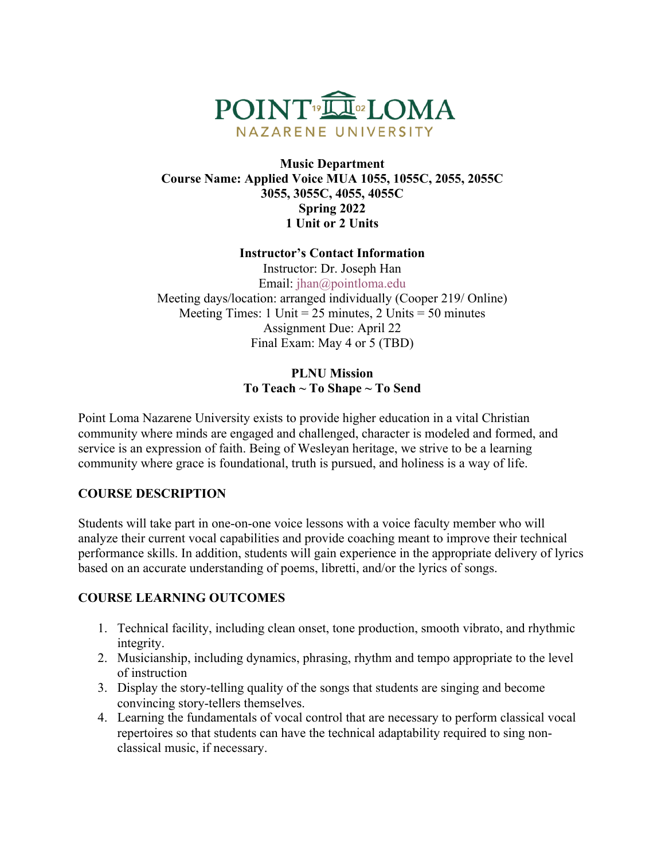

#### **Music Department Course Name: Applied Voice MUA 1055, 1055C, 2055, 2055C 3055, 3055C, 4055, 4055C Spring 2022 1 Unit or 2 Units**

#### **Instructor's Contact Information**

Instructor: Dr. Joseph Han Email: jhan@pointloma.edu Meeting days/location: arranged individually (Cooper 219/ Online) Meeting Times: 1 Unit =  $25$  minutes, 2 Units =  $50$  minutes Assignment Due: April 22 Final Exam: May 4 or 5 (TBD)

### **PLNU Mission To Teach ~ To Shape ~ To Send**

Point Loma Nazarene University exists to provide higher education in a vital Christian community where minds are engaged and challenged, character is modeled and formed, and service is an expression of faith. Being of Wesleyan heritage, we strive to be a learning community where grace is foundational, truth is pursued, and holiness is a way of life.

### **COURSE DESCRIPTION**

Students will take part in one-on-one voice lessons with a voice faculty member who will analyze their current vocal capabilities and provide coaching meant to improve their technical performance skills. In addition, students will gain experience in the appropriate delivery of lyrics based on an accurate understanding of poems, libretti, and/or the lyrics of songs.

### **COURSE LEARNING OUTCOMES**

- 1. Technical facility, including clean onset, tone production, smooth vibrato, and rhythmic integrity.
- 2. Musicianship, including dynamics, phrasing, rhythm and tempo appropriate to the level of instruction
- 3. Display the story-telling quality of the songs that students are singing and become convincing story-tellers themselves.
- 4. Learning the fundamentals of vocal control that are necessary to perform classical vocal repertoires so that students can have the technical adaptability required to sing nonclassical music, if necessary.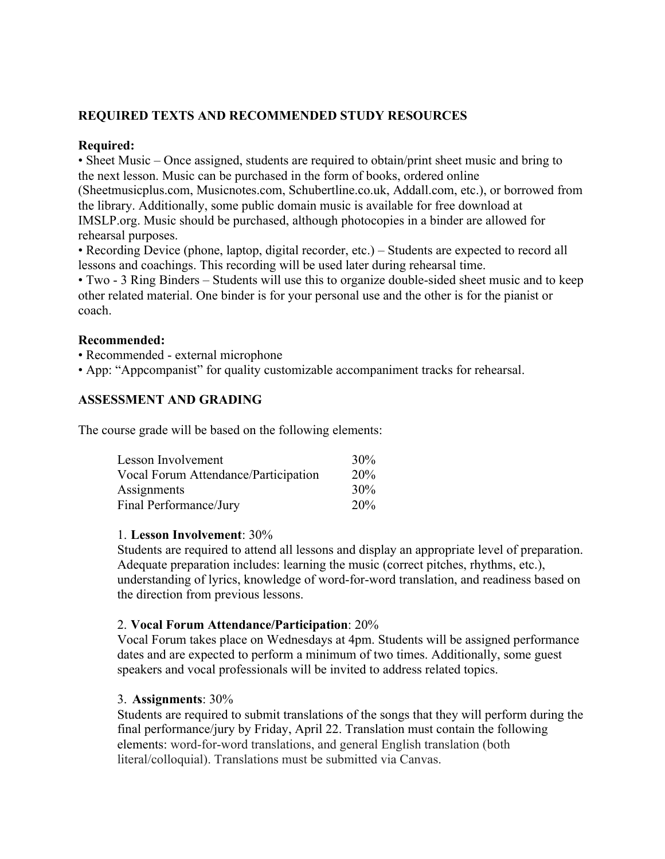## **REQUIRED TEXTS AND RECOMMENDED STUDY RESOURCES**

#### **Required:**

• Sheet Music – Once assigned, students are required to obtain/print sheet music and bring to the next lesson. Music can be purchased in the form of books, ordered online

(Sheetmusicplus.com, Musicnotes.com, Schubertline.co.uk, Addall.com, etc.), or borrowed from the library. Additionally, some public domain music is available for free download at IMSLP.org. Music should be purchased, although photocopies in a binder are allowed for rehearsal purposes.

• Recording Device (phone, laptop, digital recorder, etc.) – Students are expected to record all lessons and coachings. This recording will be used later during rehearsal time.

• Two - 3 Ring Binders – Students will use this to organize double-sided sheet music and to keep other related material. One binder is for your personal use and the other is for the pianist or coach.

#### **Recommended:**

• Recommended - external microphone

• App: "Appcompanist" for quality customizable accompaniment tracks for rehearsal.

#### **ASSESSMENT AND GRADING**

The course grade will be based on the following elements:

| Lesson Involvement                   | 30%        |
|--------------------------------------|------------|
| Vocal Forum Attendance/Participation | <b>20%</b> |
| Assignments                          | 30%        |
| Final Performance/Jury               | 20%        |

#### 1. **Lesson Involvement**: 30%

Students are required to attend all lessons and display an appropriate level of preparation. Adequate preparation includes: learning the music (correct pitches, rhythms, etc.), understanding of lyrics, knowledge of word-for-word translation, and readiness based on the direction from previous lessons.

#### 2. **Vocal Forum Attendance/Participation**: 20%

Vocal Forum takes place on Wednesdays at 4pm. Students will be assigned performance dates and are expected to perform a minimum of two times. Additionally, some guest speakers and vocal professionals will be invited to address related topics.

#### 3. **Assignments**: 30%

Students are required to submit translations of the songs that they will perform during the final performance/jury by Friday, April 22. Translation must contain the following elements: word-for-word translations, and general English translation (both literal/colloquial). Translations must be submitted via Canvas.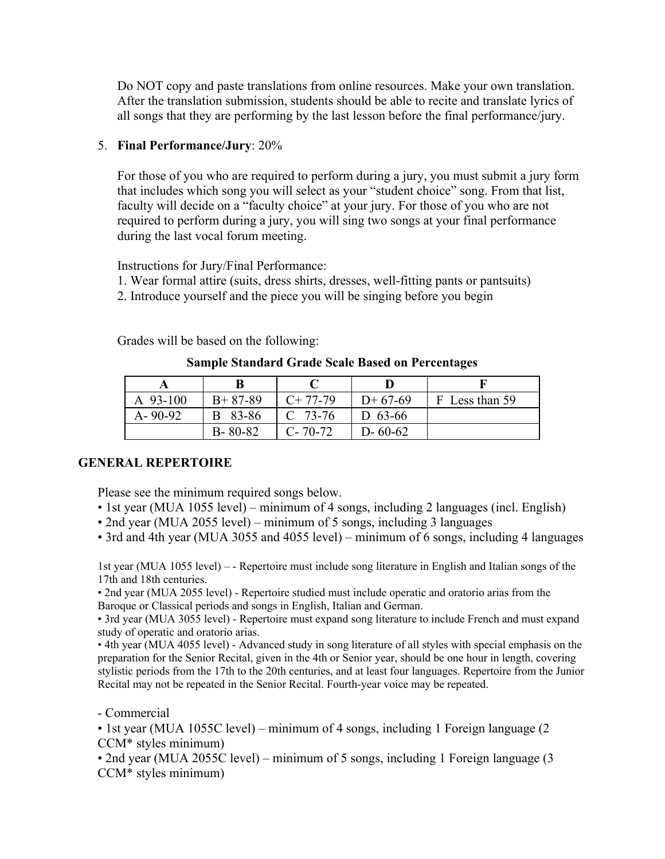Do NOT copy and paste translations from online resources. Make your own translation. After the translation submission, students should be able to recite and translate lyrics of all songs that they are performing by the last lesson before the final performance/jury.

#### 5. **Final Performance/Jury**: 20%

For those of you who are required to perform during a jury, you must submit a jury form that includes which song you will select as your "student choice" song. From that list, faculty will decide on a "faculty choice" at your jury. For those of you who are not required to perform during a jury, you will sing two songs at your final performance during the last vocal forum meeting.

Instructions for Jury/Final Performance:

- 1. Wear formal attire (suits, dress shirts, dresses, well-fitting pants or pantsuits)
- 2. Introduce yourself and the piece you will be singing before you begin

Grades will be based on the following:

#### **Sample Standard Grade Scale Based on Percentages**

| A $93-100$    | $B+87-89$     | $C+77-79$     | $D+67-69$     | F Less than 59 |
|---------------|---------------|---------------|---------------|----------------|
| $A - 90 - 92$ | B 83-86       | $C$ 73-76     | D $63-66$     |                |
|               | $B - 80 - 82$ | $C - 70 - 72$ | $D - 60 - 62$ |                |

### **GENERAL REPERTOIRE**

Please see the minimum required songs below.

- 1st year (MUA 1055 level) minimum of 4 songs, including 2 languages (incl. English)
- 2nd year (MUA 2055 level) minimum of 5 songs, including 3 languages
- 3rd and 4th year (MUA 3055 and 4055 level) minimum of 6 songs, including 4 languages

1st year (MUA 1055 level) – - Repertoire must include song literature in English and Italian songs of the 17th and 18th centuries.

• 2nd year (MUA 2055 level) - Repertoire studied must include operatic and oratorio arias from the Baroque or Classical periods and songs in English, Italian and German.

• 3rd year (MUA 3055 level) - Repertoire must expand song literature to include French and must expand study of operatic and oratorio arias.

• 4th year (MUA 4055 level) - Advanced study in song literature of all styles with special emphasis on the preparation for the Senior Recital, given in the 4th or Senior year, should be one hour in length, covering stylistic periods from the 17th to the 20th centuries, and at least four languages. Repertoire from the Junior Recital may not be repeated in the Senior Recital. Fourth-year voice may be repeated.

- Commercial

• 1st year (MUA 1055C level) – minimum of 4 songs, including 1 Foreign language (2 CCM\* styles minimum)

• 2nd year (MUA 2055C level) – minimum of 5 songs, including 1 Foreign language (3 CCM\* styles minimum)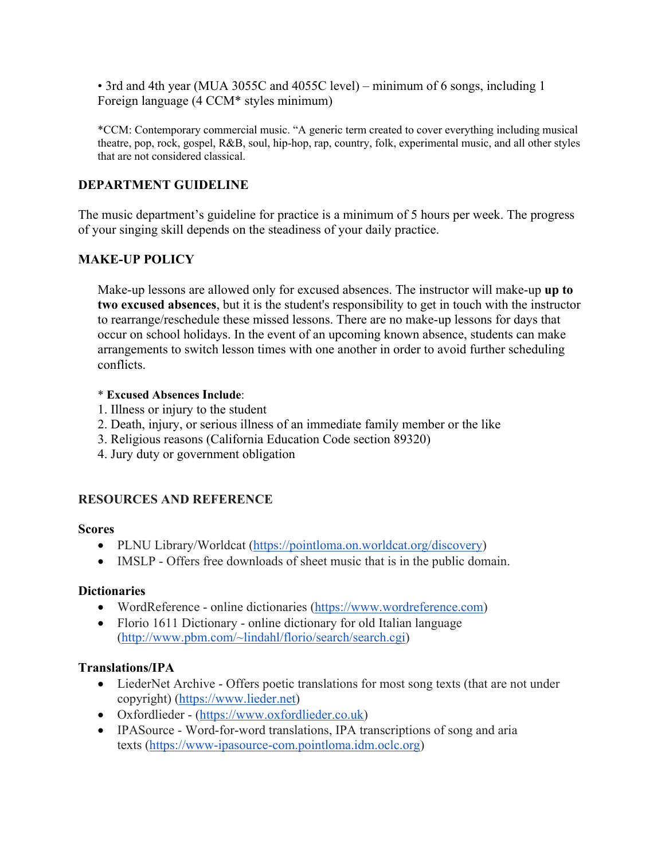• 3rd and 4th year (MUA 3055C and 4055C level) – minimum of 6 songs, including 1 Foreign language (4 CCM\* styles minimum)

\*CCM: Contemporary commercial music. "A generic term created to cover everything including musical theatre, pop, rock, gospel, R&B, soul, hip-hop, rap, country, folk, experimental music, and all other styles that are not considered classical.

#### **DEPARTMENT GUIDELINE**

The music department's guideline for practice is a minimum of 5 hours per week. The progress of your singing skill depends on the steadiness of your daily practice.

### **MAKE-UP POLICY**

Make-up lessons are allowed only for excused absences. The instructor will make-up **up to two excused absences**, but it is the student's responsibility to get in touch with the instructor to rearrange/reschedule these missed lessons. There are no make-up lessons for days that occur on school holidays. In the event of an upcoming known absence, students can make arrangements to switch lesson times with one another in order to avoid further scheduling conflicts.

#### \* **Excused Absences Include**:

- 1. Illness or injury to the student
- 2. Death, injury, or serious illness of an immediate family member or the like
- 3. Religious reasons (California Education Code section 89320)
- 4. Jury duty or government obligation

### **RESOURCES AND REFERENCE**

#### **Scores**

- PLNU Library/Worldcat (https://pointloma.on.worldcat.org/discovery)
- IMSLP Offers free downloads of sheet music that is in the public domain.

#### **Dictionaries**

- WordReference online dictionaries (https://www.wordreference.com)
- Florio 1611 Dictionary online dictionary for old Italian language (http://www.pbm.com/~lindahl/florio/search/search.cgi)

### **Translations/IPA**

- LiederNet Archive Offers poetic translations for most song texts (that are not under copyright) (https://www.lieder.net)
- Oxfordlieder (https://www.oxfordlieder.co.uk)
- IPASource Word-for-word translations, IPA transcriptions of song and aria texts (https://www-ipasource-com.pointloma.idm.oclc.org)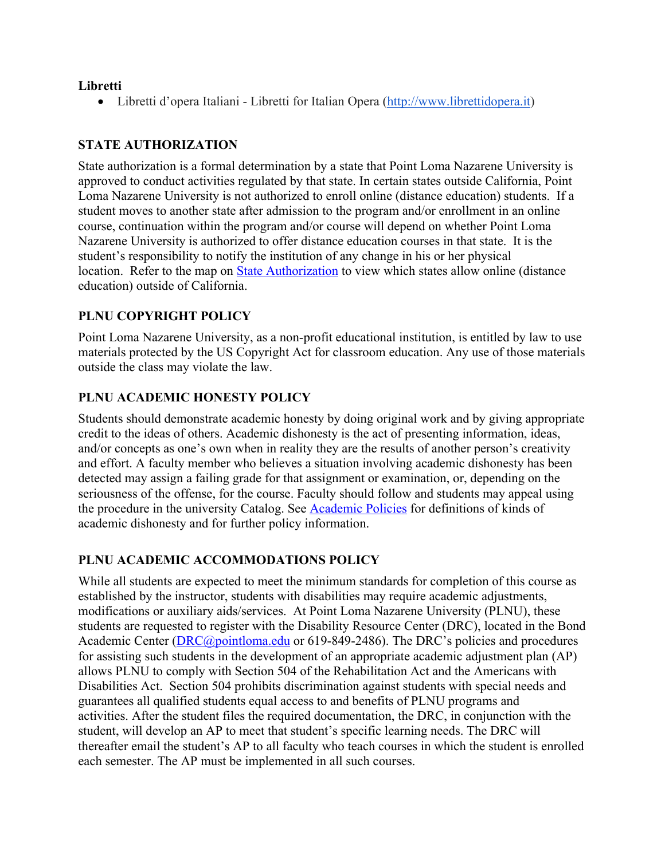#### **Libretti**

• Libretti d'opera Italiani - Libretti for Italian Opera (http://www.librettidopera.it)

## **STATE AUTHORIZATION**

State authorization is a formal determination by a state that Point Loma Nazarene University is approved to conduct activities regulated by that state. In certain states outside California, Point Loma Nazarene University is not authorized to enroll online (distance education) students. If a student moves to another state after admission to the program and/or enrollment in an online course, continuation within the program and/or course will depend on whether Point Loma Nazarene University is authorized to offer distance education courses in that state. It is the student's responsibility to notify the institution of any change in his or her physical location. Refer to the map on State Authorization to view which states allow online (distance education) outside of California.

# **PLNU COPYRIGHT POLICY**

Point Loma Nazarene University, as a non-profit educational institution, is entitled by law to use materials protected by the US Copyright Act for classroom education. Any use of those materials outside the class may violate the law.

### **PLNU ACADEMIC HONESTY POLICY**

Students should demonstrate academic honesty by doing original work and by giving appropriate credit to the ideas of others. Academic dishonesty is the act of presenting information, ideas, and/or concepts as one's own when in reality they are the results of another person's creativity and effort. A faculty member who believes a situation involving academic dishonesty has been detected may assign a failing grade for that assignment or examination, or, depending on the seriousness of the offense, for the course. Faculty should follow and students may appeal using the procedure in the university Catalog. See Academic Policies for definitions of kinds of academic dishonesty and for further policy information.

### **PLNU ACADEMIC ACCOMMODATIONS POLICY**

While all students are expected to meet the minimum standards for completion of this course as established by the instructor, students with disabilities may require academic adjustments, modifications or auxiliary aids/services. At Point Loma Nazarene University (PLNU), these students are requested to register with the Disability Resource Center (DRC), located in the Bond Academic Center (*DRC@pointloma.edu* or 619-849-2486). The DRC's policies and procedures for assisting such students in the development of an appropriate academic adjustment plan (AP) allows PLNU to comply with Section 504 of the Rehabilitation Act and the Americans with Disabilities Act. Section 504 prohibits discrimination against students with special needs and guarantees all qualified students equal access to and benefits of PLNU programs and activities. After the student files the required documentation, the DRC, in conjunction with the student, will develop an AP to meet that student's specific learning needs. The DRC will thereafter email the student's AP to all faculty who teach courses in which the student is enrolled each semester. The AP must be implemented in all such courses.